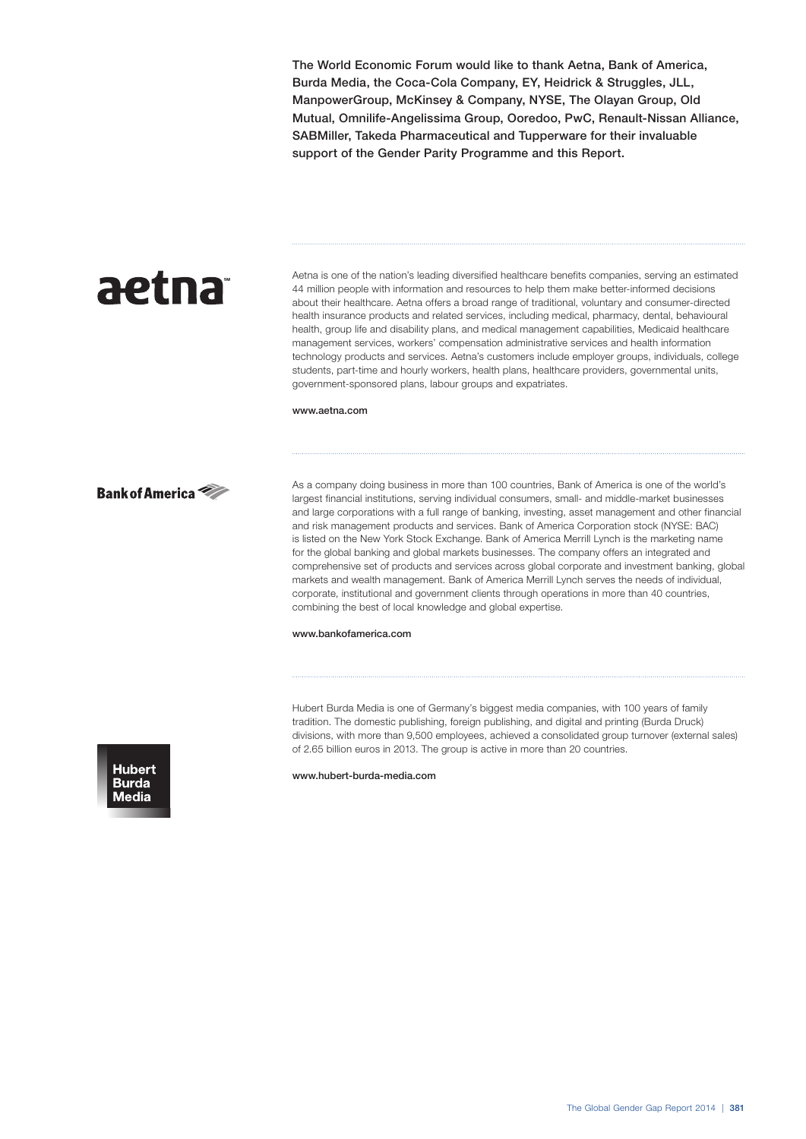The World Economic Forum would like to thank Aetna, Bank of America, Burda Media, the Coca-Cola Company, EY, Heidrick & Struggles, JLL, ManpowerGroup, McKinsey & Company, NYSE, The Olayan Group, Old Mutual, Omnilife-Angelissima Group, Ooredoo, PwC, Renault-Nissan Alliance, SABMiller, Takeda Pharmaceutical and Tupperware for their invaluable support of the Gender Parity Programme and this Report.

# aetna

Aetna is one of the nation's leading diversified healthcare benefits companies, serving an estimated 44 million people with information and resources to help them make better-informed decisions about their healthcare. Aetna offers a broad range of traditional, voluntary and consumer-directed health insurance products and related services, including medical, pharmacy, dental, behavioural health, group life and disability plans, and medical management capabilities, Medicaid healthcare management services, workers' compensation administrative services and health information technology products and services. Aetna's customers include employer groups, individuals, college students, part-time and hourly workers, health plans, healthcare providers, governmental units, government-sponsored plans, labour groups and expatriates.

www.aetna.com



As a company doing business in more than 100 countries, Bank of America is one of the world's largest financial institutions, serving individual consumers, small- and middle-market businesses and large corporations with a full range of banking, investing, asset management and other financial and risk management products and services. Bank of America Corporation stock (NYSE: BAC) is listed on the New York Stock Exchange. Bank of America Merrill Lynch is the marketing name for the global banking and global markets businesses. The company offers an integrated and comprehensive set of products and services across global corporate and investment banking, global markets and wealth management. Bank of America Merrill Lynch serves the needs of individual, corporate, institutional and government clients through operations in more than 40 countries, combining the best of local knowledge and global expertise.

# www.bankofamerica.com

Hubert Burda Media is one of Germany's biggest media companies, with 100 years of family tradition. The domestic publishing, foreign publishing, and digital and printing (Burda Druck) divisions, with more than 9,500 employees, achieved a consolidated group turnover (external sales) of 2.65 billion euros in 2013. The group is active in more than 20 countries.



www.hubert-burda-media.com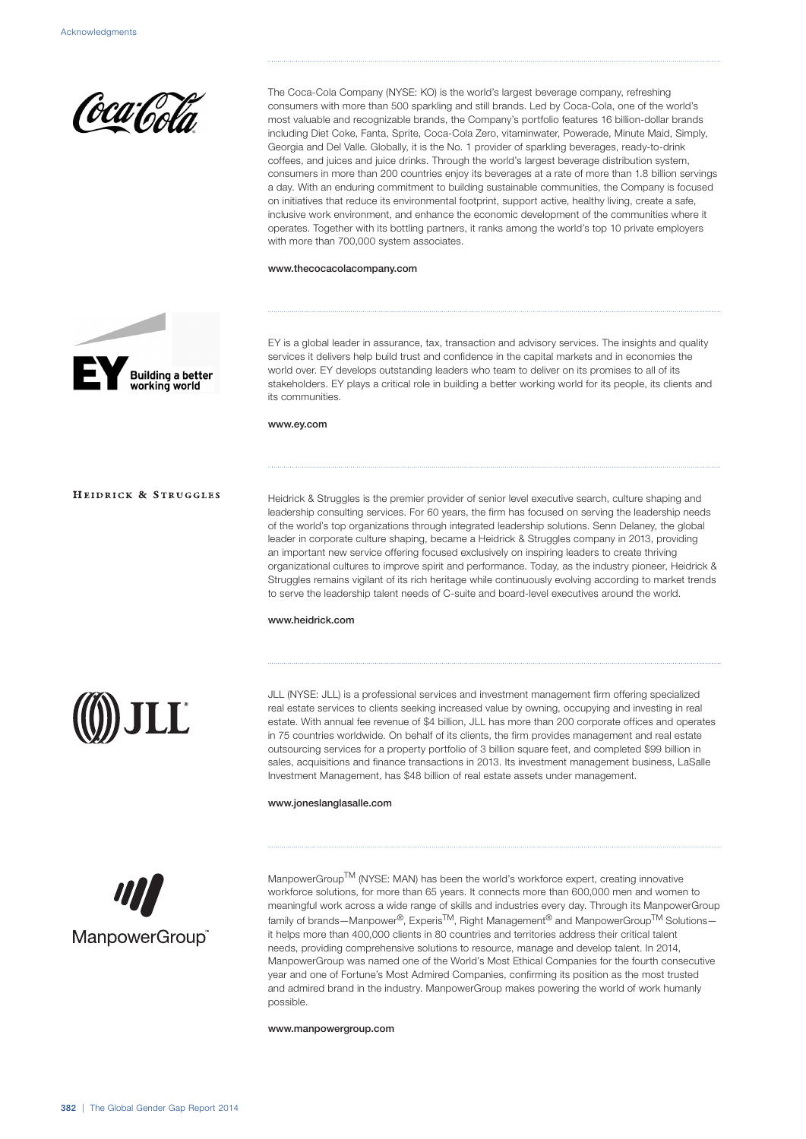

The Coca-Cola Company (NYSE: KO) is the world's largest beverage company, refreshing consumers with more than 500 sparkling and still brands. Led by Coca-Cola, one of the world's most valuable and recognizable brands, the Company's portfolio features 16 billion-dollar brands including Diet Coke, Fanta, Sprite, Coca-Cola Zero, vitaminwater, Powerade, Minute Maid, Simply, Georgia and Del Valle. Globally, it is the No. 1 provider of sparkling beverages, ready-to-drink coffees, and juices and juice drinks. Through the world's largest beverage distribution system, consumers in more than 200 countries enjoy its beverages at a rate of more than 1.8 billion servings a day. With an enduring commitment to building sustainable communities, the Company is focused on initiatives that reduce its environmental footprint, support active, healthy living, create a safe, inclusive work environment, and enhance the economic development of the communities where it operates. Together with its bottling partners, it ranks among the world's top 10 private employers with more than 700,000 system associates.

www.thecocacolacompany.com



EY is a global leader in assurance, tax, transaction and advisory services. The insights and quality services it delivers help build trust and confidence in the capital markets and in economies the world over. EY develops outstanding leaders who team to deliver on its promises to all of its stakeholders. EY plays a critical role in building a better working world for its people, its clients and its communities.

# www.ey.com

HEIDRICK & STRUGGLES

Heidrick & Struggles is the premier provider of senior level executive search, culture shaping and leadership consulting services. For 60 years, the firm has focused on serving the leadership needs of the world's top organizations through integrated leadership solutions. Senn Delaney, the global leader in corporate culture shaping, became a Heidrick & Struggles company in 2013, providing an important new service offering focused exclusively on inspiring leaders to create thriving organizational cultures to improve spirit and performance. Today, as the industry pioneer, Heidrick & Struggles remains vigilant of its rich heritage while continuously evolving according to market trends to serve the leadership talent needs of C-suite and board-level executives around the world.

#### www.heidrick.com



JLL (NYSE: JLL) is a professional services and investment management firm offering specialized real estate services to clients seeking increased value by owning, occupying and investing in real estate. With annual fee revenue of \$4 billion, JLL has more than 200 corporate offices and operates in 75 countries worldwide. On behalf of its clients, the firm provides management and real estate outsourcing services for a property portfolio of 3 billion square feet, and completed \$99 billion in sales, acquisitions and finance transactions in 2013. Its investment management business, LaSalle Investment Management, has \$48 billion of real estate assets under management.

#### www.joneslanglasalle.com



ManpowerGroup<sup>TM</sup> (NYSE: MAN) has been the world's workforce expert, creating innovative workforce solutions, for more than 65 years. It connects more than 600,000 men and women to meaningful work across a wide range of skills and industries every day. Through its ManpowerGroup family of brands—Manpower®, Experis<sup>TM</sup>, Right Management<sup>®</sup> and ManpowerGroup<sup>TM</sup> Solutions it helps more than 400,000 clients in 80 countries and territories address their critical talent needs, providing comprehensive solutions to resource, manage and develop talent. In 2014, ManpowerGroup was named one of the World's Most Ethical Companies for the fourth consecutive year and one of Fortune's Most Admired Companies, confirming its position as the most trusted and admired brand in the industry. ManpowerGroup makes powering the world of work humanly possible.

www.manpowergroup.com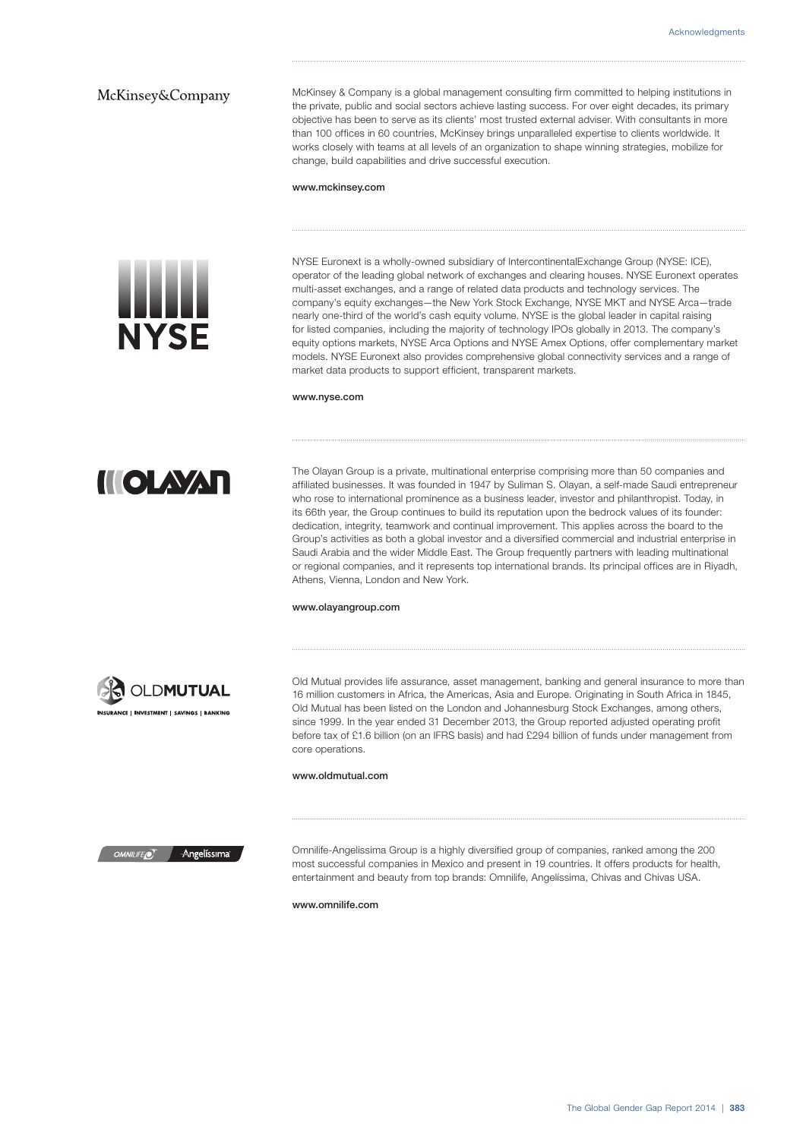# McKinsey&Company

McKinsey & Company is a global management consulting firm committed to helping institutions in the private, public and social sectors achieve lasting success. For over eight decades, its primary objective has been to serve as its clients' most trusted external adviser. With consultants in more than 100 offices in 60 countries, McKinsey brings unparalleled expertise to clients worldwide. It works closely with teams at all levels of an organization to shape winning strategies, mobilize for change, build capabilities and drive successful execution.

#### www.mckinsey.com



NYSE Euronext is a wholly-owned subsidiary of IntercontinentalExchange Group (NYSE: ICE), operator of the leading global network of exchanges and clearing houses. NYSE Euronext operates multi-asset exchanges, and a range of related data products and technology services. The company's equity exchanges—the New York Stock Exchange, NYSE MKT and NYSE Arca—trade nearly one-third of the world's cash equity volume. NYSE is the global leader in capital raising for listed companies, including the majority of technology IPOs globally in 2013. The company's equity options markets, NYSE Arca Options and NYSE Amex Options, offer complementary market models. NYSE Euronext also provides comprehensive global connectivity services and a range of market data products to support efficient, transparent markets.

#### www.nyse.com

**HOLAXAR** 

The Olayan Group is a private, multinational enterprise comprising more than 50 companies and affiliated businesses. It was founded in 1947 by Suliman S. Olayan, a self-made Saudi entrepreneur who rose to international prominence as a business leader, investor and philanthropist. Today, in its 66th year, the Group continues to build its reputation upon the bedrock values of its founder: dedication, integrity, teamwork and continual improvement. This applies across the board to the Group's activities as both a global investor and a diversified commercial and industrial enterprise in Saudi Arabia and the wider Middle East. The Group frequently partners with leading multinational or regional companies, and it represents top international brands. Its principal offices are in Riyadh, Athens, Vienna, London and New York.

#### www.olayangroup.com



Old Mutual provides life assurance, asset management, banking and general insurance to more than 16 million customers in Africa, the Americas, Asia and Europe. Originating in South Africa in 1845, Old Mutual has been listed on the London and Johannesburg Stock Exchanges, among others, since 1999. In the year ended 31 December 2013, the Group reported adjusted operating profit before tax of £1.6 billion (on an IFRS basis) and had £294 billion of funds under management from core operations.

#### www.oldmutual.com

Angelíssima

Omnilife-Angelissima Group is a highly diversified group of companies, ranked among the 200 most successful companies in Mexico and present in 19 countries. It offers products for health, entertainment and beauty from top brands: Omnilife, Angelíssima, Chivas and Chivas USA.

www.omnilife.com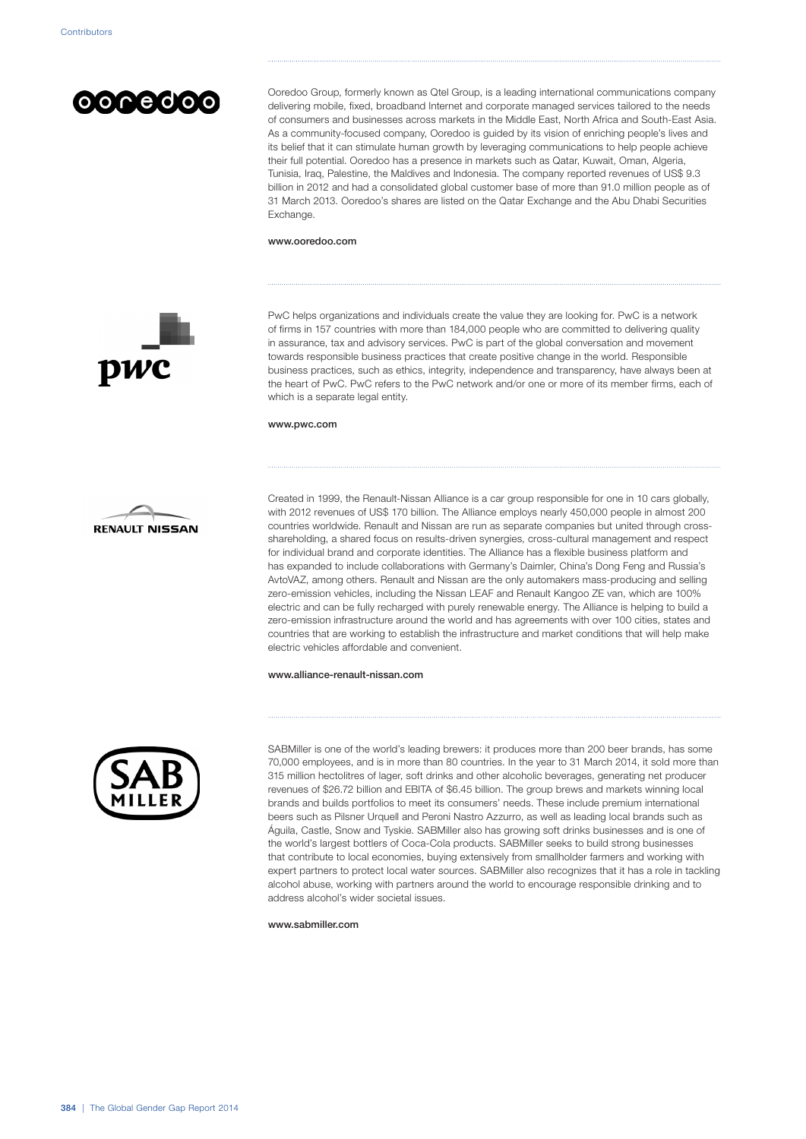

Ooredoo Group, formerly known as Qtel Group, is a leading international communications company delivering mobile, fixed, broadband Internet and corporate managed services tailored to the needs of consumers and businesses across markets in the Middle East, North Africa and South-East Asia. As a community-focused company, Ooredoo is guided by its vision of enriching people's lives and its belief that it can stimulate human growth by leveraging communications to help people achieve their full potential. Ooredoo has a presence in markets such as Qatar, Kuwait, Oman. Algeria. Tunisia, Iraq, Palestine, the Maldives and Indonesia. The company reported revenues of US\$ 9.3 billion in 2012 and had a consolidated global customer base of more than 91.0 million people as of 31 March 2013. Ooredoo's shares are listed on the Qatar Exchange and the Abu Dhabi Securities Exchange.

#### www.ooredoo.com



PwC helps organizations and individuals create the value they are looking for. PwC is a network of firms in 157 countries with more than 184,000 people who are committed to delivering quality in assurance, tax and advisory services. PwC is part of the global conversation and movement towards responsible business practices that create positive change in the world. Responsible business practices, such as ethics, integrity, independence and transparency, have always been at the heart of PwC. PwC refers to the PwC network and/or one or more of its member firms, each of which is a separate legal entity.

#### www.pwc.com



Created in 1999, the Renault-Nissan Alliance is a car group responsible for one in 10 cars globally, with 2012 revenues of US\$ 170 billion. The Alliance employs nearly 450,000 people in almost 200 countries worldwide. Renault and Nissan are run as separate companies but united through crossshareholding, a shared focus on results-driven synergies, cross-cultural management and respect for individual brand and corporate identities. The Alliance has a flexible business platform and has expanded to include collaborations with Germany's Daimler, China's Dong Feng and Russia's AvtoVAZ, among others. Renault and Nissan are the only automakers mass-producing and selling zero-emission vehicles, including the Nissan LEAF and Renault Kangoo ZE van, which are 100% electric and can be fully recharged with purely renewable energy. The Alliance is helping to build a zero-emission infrastructure around the world and has agreements with over 100 cities, states and countries that are working to establish the infrastructure and market conditions that will help make electric vehicles affordable and convenient.

# www.alliance-renault-nissan.com



SABMiller is one of the world's leading brewers: it produces more than 200 beer brands, has some 70,000 employees, and is in more than 80 countries. In the year to 31 March 2014, it sold more than 315 million hectolitres of lager, soft drinks and other alcoholic beverages, generating net producer revenues of \$26.72 billion and EBITA of \$6.45 billion. The group brews and markets winning local brands and builds portfolios to meet its consumers' needs. These include premium international beers such as Pilsner Urquell and Peroni Nastro Azzurro, as well as leading local brands such as Águila, Castle, Snow and Tyskie. SABMiller also has growing soft drinks businesses and is one of the world's largest bottlers of Coca-Cola products. SABMiller seeks to build strong businesses that contribute to local economies, buying extensively from smallholder farmers and working with expert partners to protect local water sources. SABMiller also recognizes that it has a role in tackling alcohol abuse, working with partners around the world to encourage responsible drinking and to address alcohol's wider societal issues.

www.sabmiller.com